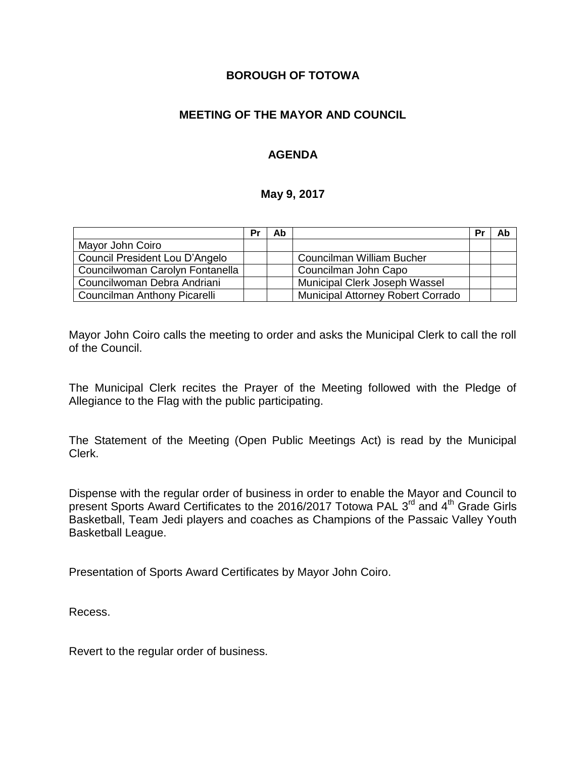### **BOROUGH OF TOTOWA**

## **MEETING OF THE MAYOR AND COUNCIL**

## **AGENDA**

### **May 9, 2017**

|                                 | Pr | Ab |                                          | Pr | Ab |
|---------------------------------|----|----|------------------------------------------|----|----|
| Mayor John Coiro                |    |    |                                          |    |    |
| Council President Lou D'Angelo  |    |    | Councilman William Bucher                |    |    |
| Councilwoman Carolyn Fontanella |    |    | Councilman John Capo                     |    |    |
| Councilwoman Debra Andriani     |    |    | Municipal Clerk Joseph Wassel            |    |    |
| Councilman Anthony Picarelli    |    |    | <b>Municipal Attorney Robert Corrado</b> |    |    |

Mayor John Coiro calls the meeting to order and asks the Municipal Clerk to call the roll of the Council.

The Municipal Clerk recites the Prayer of the Meeting followed with the Pledge of Allegiance to the Flag with the public participating.

The Statement of the Meeting (Open Public Meetings Act) is read by the Municipal Clerk.

Dispense with the regular order of business in order to enable the Mayor and Council to present Sports Award Certificates to the 2016/2017 Totowa PAL 3<sup>rd</sup> and 4<sup>th</sup> Grade Girls Basketball, Team Jedi players and coaches as Champions of the Passaic Valley Youth Basketball League.

Presentation of Sports Award Certificates by Mayor John Coiro.

Recess.

Revert to the regular order of business.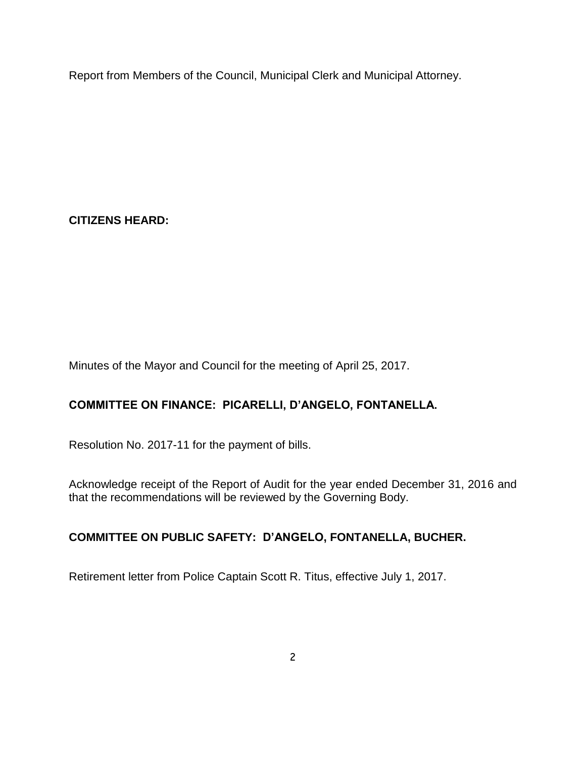Report from Members of the Council, Municipal Clerk and Municipal Attorney.

**CITIZENS HEARD:**

Minutes of the Mayor and Council for the meeting of April 25, 2017.

# **COMMITTEE ON FINANCE: PICARELLI, D'ANGELO, FONTANELLA.**

Resolution No. 2017-11 for the payment of bills.

Acknowledge receipt of the Report of Audit for the year ended December 31, 2016 and that the recommendations will be reviewed by the Governing Body.

## **COMMITTEE ON PUBLIC SAFETY: D'ANGELO, FONTANELLA, BUCHER.**

Retirement letter from Police Captain Scott R. Titus, effective July 1, 2017.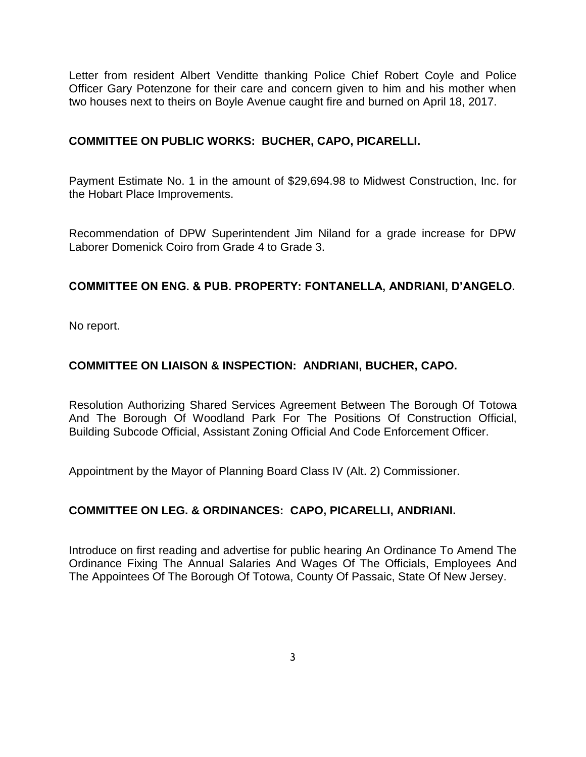Letter from resident Albert Venditte thanking Police Chief Robert Coyle and Police Officer Gary Potenzone for their care and concern given to him and his mother when two houses next to theirs on Boyle Avenue caught fire and burned on April 18, 2017.

### **COMMITTEE ON PUBLIC WORKS: BUCHER, CAPO, PICARELLI.**

Payment Estimate No. 1 in the amount of \$29,694.98 to Midwest Construction, Inc. for the Hobart Place Improvements.

Recommendation of DPW Superintendent Jim Niland for a grade increase for DPW Laborer Domenick Coiro from Grade 4 to Grade 3.

### **COMMITTEE ON ENG. & PUB. PROPERTY: FONTANELLA, ANDRIANI, D'ANGELO.**

No report.

### **COMMITTEE ON LIAISON & INSPECTION: ANDRIANI, BUCHER, CAPO.**

Resolution Authorizing Shared Services Agreement Between The Borough Of Totowa And The Borough Of Woodland Park For The Positions Of Construction Official, Building Subcode Official, Assistant Zoning Official And Code Enforcement Officer.

Appointment by the Mayor of Planning Board Class IV (Alt. 2) Commissioner.

### **COMMITTEE ON LEG. & ORDINANCES: CAPO, PICARELLI, ANDRIANI.**

Introduce on first reading and advertise for public hearing An Ordinance To Amend The Ordinance Fixing The Annual Salaries And Wages Of The Officials, Employees And The Appointees Of The Borough Of Totowa, County Of Passaic, State Of New Jersey.